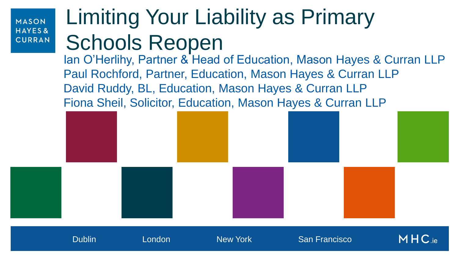# Limiting Your Liability as Primary Schools Reopen

Ian O'Herlihy, Partner & Head of Education, Mason Hayes & Curran LLP Paul Rochford, Partner, Education, Mason Hayes & Curran LLP David Ruddy, BL, Education, Mason Hayes & Curran LLP Fiona Sheil, Solicitor, Education, Mason Hayes & Curran LLP

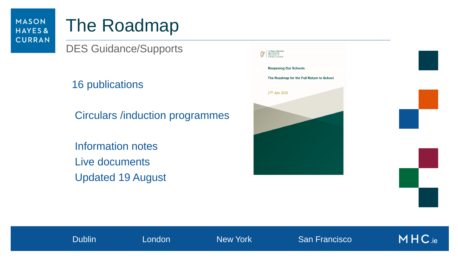### The Roadmap

DES Guidance/Supports

16 publications

Circulars /induction programmes

 Information notes Live documents Updated 19 August

| An Roinn Oideachais<br>agus Seileanna<br>Department of<br>Hducation and Skills |  |
|--------------------------------------------------------------------------------|--|
| <b>Reopening Our Schools</b>                                                   |  |
| The Roadmap for the Full Return to School                                      |  |
| 27th July 2020                                                                 |  |
|                                                                                |  |
|                                                                                |  |
|                                                                                |  |
|                                                                                |  |

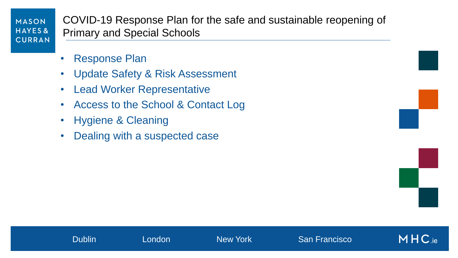COVID-19 Response Plan for the safe and sustainable reopening of Primary and Special Schools

- Response Plan
- Update Safety & Risk Assessment
- **Lead Worker Representative**
- Access to the School & Contact Log
- Hygiene & Cleaning
- Dealing with a suspected case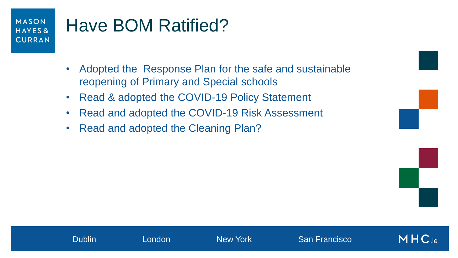#### MASON Have BOM Ratified? HAYES& **CURRAN**

- Adopted the Response Plan for the safe and sustainable reopening of Primary and Special schools
- Read & adopted the COVID-19 Policy Statement
- Read and adopted the COVID-19 Risk Assessment
- Read and adopted the Cleaning Plan?



 $MHC_{\rm ie}$ 

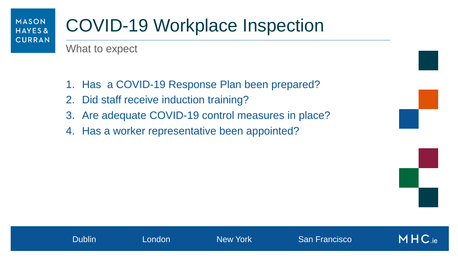### COVID-19 Workplace Inspection

What to expect

- 1. Has a COVID-19 Response Plan been prepared?
- 2. Did staff receive induction training?
- 3. Are adequate COVID-19 control measures in place?
- 4. Has a worker representative been appointed?

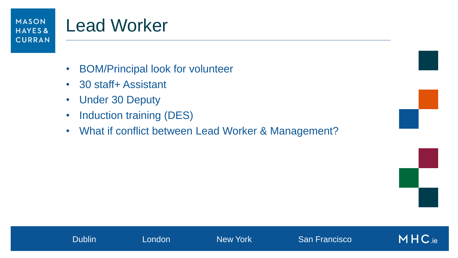### Lead Worker

- BOM/Principal look for volunteer
- 30 staff+ Assistant
- Under 30 Deputy
- Induction training (DES)
- What if conflict between Lead Worker & Management?



MHC.ie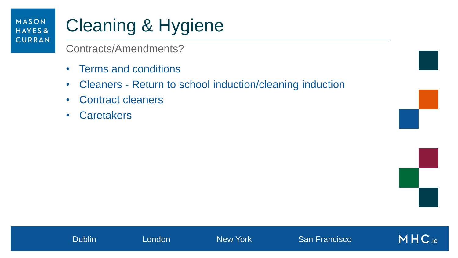# Cleaning & Hygiene

Contracts/Amendments?

- Terms and conditions
- Cleaners Return to school induction/cleaning induction
- Contract cleaners
- Caretakers

MHC.ie

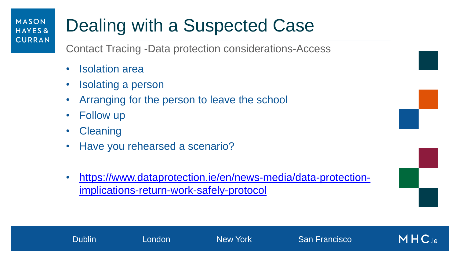### Dealing with a Suspected Case

Contact Tracing -Data protection considerations-Access

- Isolation area
- Isolating a person
- Arranging for the person to leave the school
- **Follow up**

MASON

HAYES&

**CURRAN** 

- **Cleaning**
- Have you rehearsed a scenario?
- [https://www.dataprotection.ie/en/news-media/data-protection](https://www.dataprotection.ie/en/news-media/data-protection-implications-return-work-safely-protocol)[implications-return-work-safely-protocol](https://www.dataprotection.ie/en/news-media/data-protection-implications-return-work-safely-protocol)

Dublin London New York San Francisco



 $MHC_{ie}$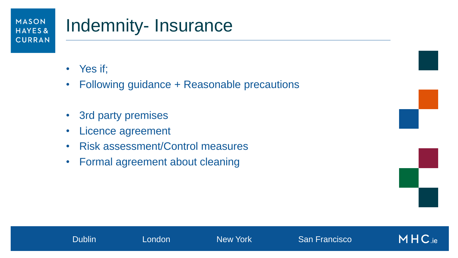### Indemnity- Insurance

- Yes if;
- Following guidance + Reasonable precautions
- 3rd party premises
- Licence agreement
- Risk assessment/Control measures
- Formal agreement about cleaning

 $MHC_{\text{.ie}}$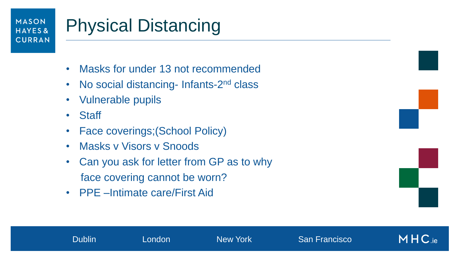# Physical Distancing

- Masks for under 13 not recommended
- No social distancing- Infants-2<sup>nd</sup> class
- Vulnerable pupils
- Staff
- Face coverings; (School Policy)
- Masks v Visors v Snoods
- Can you ask for letter from GP as to why face covering cannot be worn?
- PPE –Intimate care/First Aid



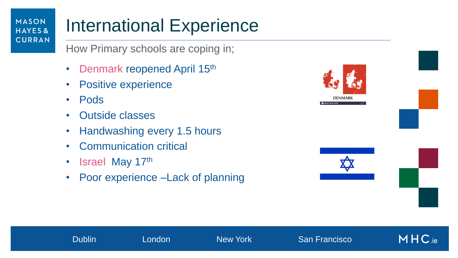### International Experience

How Primary schools are coping in;

- Denmark reopened April 15<sup>th</sup>
- Positive experience
- Pods
- Outside classes
- Handwashing every 1.5 hours
- Communication critical
- Israel May 17th
- Poor experience –Lack of planning

Dublin London New York San Francisco

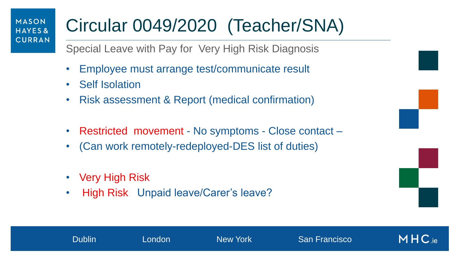# Circular 0049/2020 (Teacher/SNA)

Special Leave with Pay for Very High Risk Diagnosis

- Employee must arrange test/communicate result
- Self Isolation
- Risk assessment & Report (medical confirmation)
- Restricted movement No symptoms Close contact –

Dublin London New York San Francisco

- (Can work remotely-redeployed-DES list of duties)
- Very High Risk
- High Risk Unpaid leave/Carer's leave?

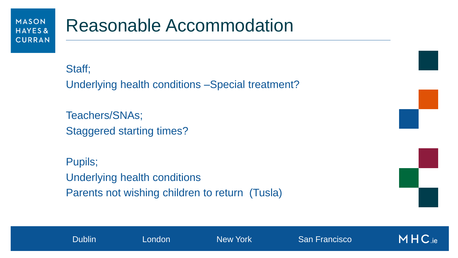### Reasonable Accommodation

Staff; Underlying health conditions –Special treatment?

Teachers/SNAs; Staggered starting times?

Pupils; Underlying health conditions Parents not wishing children to return (Tusla)



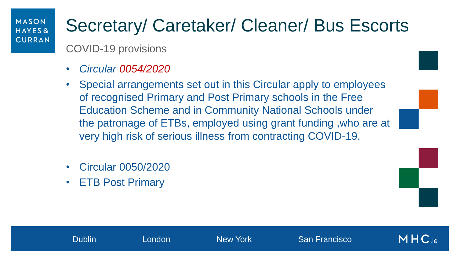### Secretary/ Caretaker/ Cleaner/ Bus Escorts

COVID-19 provisions

- *Circular 0054/2020*
- Special arrangements set out in this Circular apply to employees of recognised Primary and Post Primary schools in the Free Education Scheme and in Community National Schools under the patronage of ETBs, employed using grant funding ,who are at very high risk of serious illness from contracting COVID-19,
- Circular 0050/2020
- ETB Post Primary

Dublin London New York San Francisco

 $MHC_{\text{ie}}$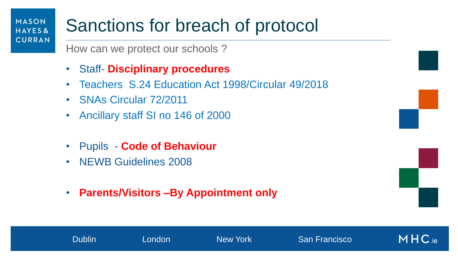### Sanctions for breach of protocol

How can we protect our schools ?

- Staff- **Disciplinary procedures**
- Teachers S.24 Education Act 1998/Circular 49/2018

Dublin London New York San Francisco

• SNAs Circular 72/2011

MASON

HAYES&

**CURRAN** 

- Ancillary staff SI no 146 of 2000
- Pupils **Code of Behaviour**
- NEWB Guidelines 2008
- **Parents/Visitors –By Appointment only**



 $MHC_{\text{ie}}$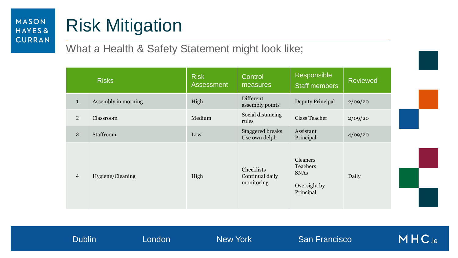# Risk Mitigation

#### What a Health & Safety Statement might look like;

|                | <b>Risks</b>        | <b>Risk</b><br><b>Assessment</b> | Control<br>measures                         | Responsible<br><b>Staff members</b>                              | <b>Reviewed</b> |
|----------------|---------------------|----------------------------------|---------------------------------------------|------------------------------------------------------------------|-----------------|
| $\mathbf{1}$   | Assembly in morning | High                             | Different<br>assembly points                | <b>Deputy Principal</b>                                          | 2/09/20         |
| $2^{\circ}$    | Classroom           | Medium                           | Social distancing<br>rules                  | <b>Class Teacher</b>                                             | 2/09/20         |
| $\mathfrak{S}$ | Staffroom           | Low                              | <b>Staggered breaks</b><br>Use own delph    | Assistant<br>Principal                                           | 4/09/20         |
| $\overline{4}$ | Hygiene/Cleaning    | High                             | Checklists<br>Continual daily<br>monitoring | Cleaners<br>Teachers<br><b>SNAs</b><br>Oversight by<br>Principal | Daily           |

MHC.ie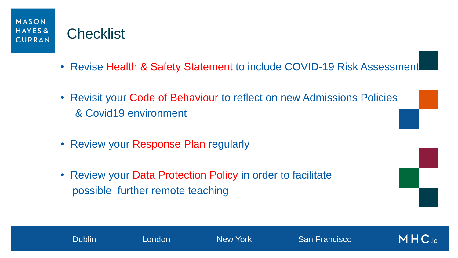

#### **Checklist**

- Revise Health & Safety Statement to include COVID-19 Risk Assessment
- Revisit your Code of Behaviour to reflect on new Admissions Policies & Covid19 environment
- Review your Response Plan regularly
- Review your Data Protection Policy in order to facilitate possible further remote teaching

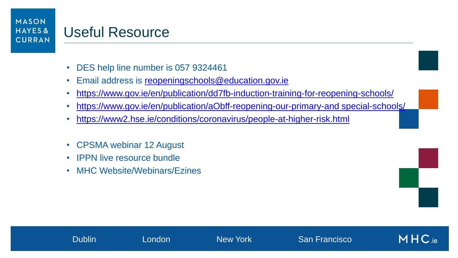### Useful Resource

- DES help line number is 057 9324461
- Email address is [reopeningschools@education.gov.ie](mailto:reopeningschools@education.gov.ie)
- <https://www.gov.ie/en/publication/dd7fb-induction-training-for-reopening-schools/>
- <https://www.gov.ie/en/publication/aObff-reopening-our-primary-and special-schools/>
- <https://www2.hse.ie/conditions/coronavirus/people-at-higher-risk.html>
- CPSMA webinar 12 August
- **IPPN live resource bundle**
- MHC Website/Webinars/Ezines

$$
\frac{1}{\sqrt{2}}\left( \frac{1}{\sqrt{2}}\right)
$$